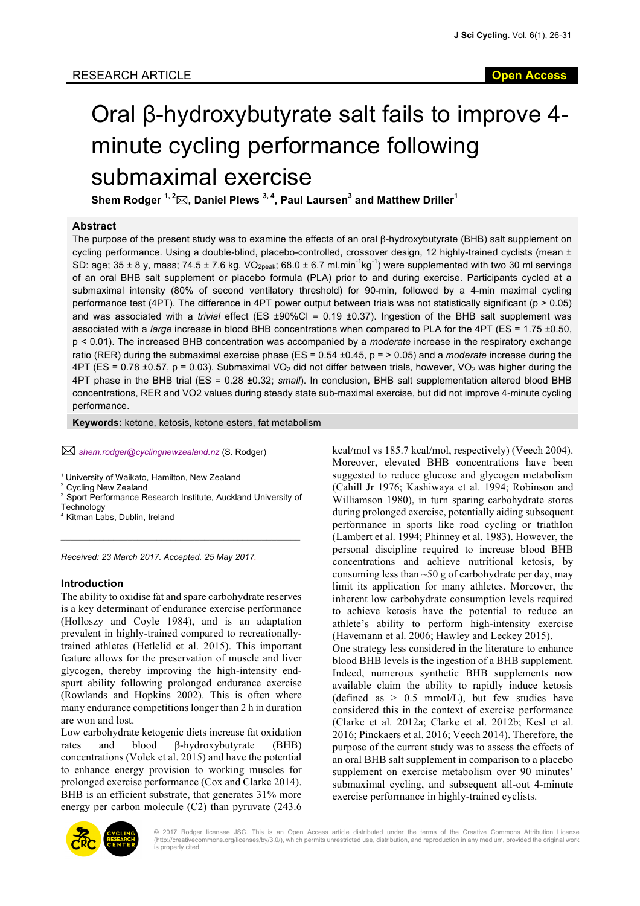# Oral β-hydroxybutyrate salt fails to improve 4 minute cycling performance following submaximal exercise

**Shem Rodger 1, <sup>2</sup>** \***, Daniel Plews 3, <sup>4</sup> , Paul Laursen<sup>3</sup> and Matthew Driller<sup>1</sup>**

#### **Abstract**

The purpose of the present study was to examine the effects of an oral β-hydroxybutyrate (BHB) salt supplement on cycling performance. Using a double-blind, placebo-controlled, crossover design, 12 highly-trained cyclists (mean ± SD: age; 35 ± 8 y, mass; 74.5 ± 7.6 kg, VO<sub>2peak</sub>; 68.0 ± 6.7 ml.min<sup>-1</sup>kg<sup>-1</sup>) were supplemented with two 30 ml servings of an oral BHB salt supplement or placebo formula (PLA) prior to and during exercise. Participants cycled at a submaximal intensity (80% of second ventilatory threshold) for 90-min, followed by a 4-min maximal cycling performance test (4PT). The difference in 4PT power output between trials was not statistically significant ( $p > 0.05$ ) and was associated with a *trivial* effect (ES ±90%CI = 0.19 ±0.37). Ingestion of the BHB salt supplement was associated with a *large* increase in blood BHB concentrations when compared to PLA for the 4PT (ES = 1.75 ±0.50, p < 0.01). The increased BHB concentration was accompanied by a *moderate* increase in the respiratory exchange ratio (RER) during the submaximal exercise phase (ES = 0.54 ±0.45, p = > 0.05) and a *moderate* increase during the  $4PT$  (ES = 0.78 ±0.57, p = 0.03). Submaximal VO<sub>2</sub> did not differ between trials, however, VO<sub>2</sub> was higher during the 4PT phase in the BHB trial (ES = 0.28 ±0.32; *small*). In conclusion, BHB salt supplementation altered blood BHB concentrations, RER and VO2 values during steady state sub-maximal exercise, but did not improve 4-minute cycling performance.

**Keywords:** ketone, ketosis, ketone esters, fat metabolism

\* *shem.rodger@cyclingnewzealand.nz* (S. Rodger)

*<sup>1</sup>* University of Waikato, Hamilton, New Zealand

<sup>2</sup> Cycling New Zealand

<sup>3</sup> Sport Performance Research Institute, Auckland University of **Technology** 

\_\_\_\_\_\_\_\_\_\_\_\_\_\_\_\_\_\_\_\_\_\_\_\_\_\_\_\_\_\_\_\_\_\_\_\_\_\_\_\_\_\_\_\_\_\_\_\_\_\_

<sup>4</sup> Kitman Labs, Dublin, Ireland

*Received: 23 March 2017. Accepted. 25 May 2017.*

#### **Introduction**

The ability to oxidise fat and spare carbohydrate reserves is a key determinant of endurance exercise performance (Holloszy and Coyle 1984), and is an adaptation prevalent in highly-trained compared to recreationallytrained athletes (Hetlelid et al. 2015). This important feature allows for the preservation of muscle and liver glycogen, thereby improving the high-intensity endspurt ability following prolonged endurance exercise (Rowlands and Hopkins 2002). This is often where many endurance competitions longer than 2 h in duration are won and lost.

Low carbohydrate ketogenic diets increase fat oxidation rates and blood β-hydroxybutyrate (BHB) concentrations (Volek et al. 2015) and have the potential to enhance energy provision to working muscles for prolonged exercise performance (Cox and Clarke 2014). BHB is an efficient substrate, that generates  $31\%$  more energy per carbon molecule (C2) than pyruvate (243.6

kcal/mol vs 185.7 kcal/mol, respectively) (Veech 2004). Moreover, elevated BHB concentrations have been suggested to reduce glucose and glycogen metabolism (Cahill Jr 1976; Kashiwaya et al. 1994; Robinson and Williamson 1980), in turn sparing carbohydrate stores during prolonged exercise, potentially aiding subsequent performance in sports like road cycling or triathlon (Lambert et al. 1994; Phinney et al. 1983). However, the personal discipline required to increase blood BHB concentrations and achieve nutritional ketosis, by consuming less than  $\sim 50$  g of carbohydrate per day, may limit its application for many athletes. Moreover, the inherent low carbohydrate consumption levels required to achieve ketosis have the potential to reduce an athlete's ability to perform high-intensity exercise (Havemann et al. 2006; Hawley and Leckey 2015). One strategy less considered in the literature to enhance blood BHB levels is the ingestion of a BHB supplement. Indeed, numerous synthetic BHB supplements now available claim the ability to rapidly induce ketosis (defined as  $> 0.5$  mmol/L), but few studies have considered this in the context of exercise performance (Clarke et al. 2012a; Clarke et al. 2012b; Kesl et al. 2016; Pinckaers et al. 2016; Veech 2014). Therefore, the purpose of the current study was to assess the effects of an oral BHB salt supplement in comparison to a placebo supplement on exercise metabolism over 90 minutes' submaximal cycling, and subsequent all-out 4-minute exercise performance in highly-trained cyclists.



© 2017 Rodger licensee JSC. This is an Open Access article distributed under the terms of the Creative Commons Attribution License (http://creativecommons.org/licenses/by/3.0/), which permits unrestricted use, distribution, and reproduction in any medium, provided the original work is properly cited.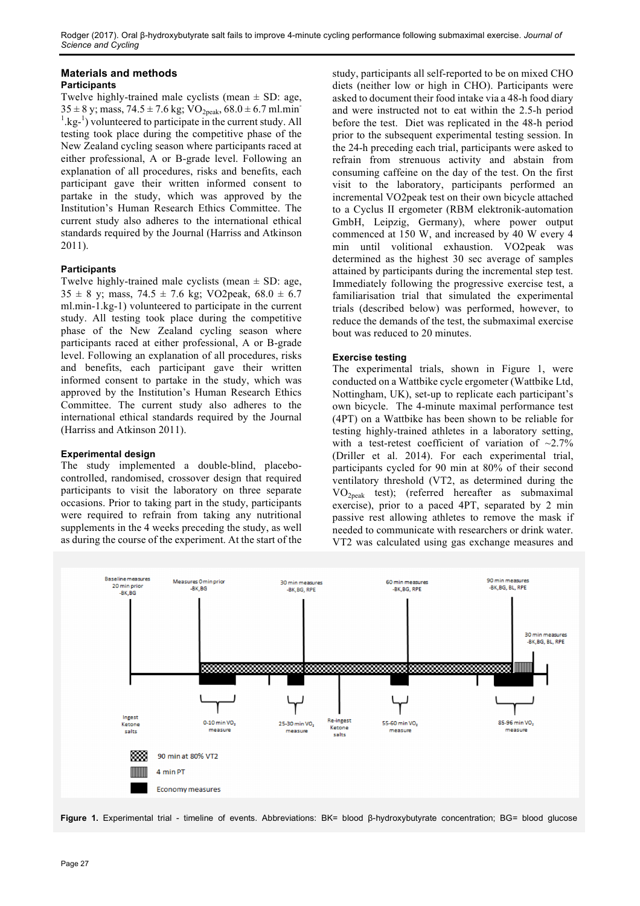# **Materials and methods**

# **Participants**

Twelve highly-trained male cyclists (mean  $\pm$  SD: age,  $35 \pm 8$  y; mass,  $74.5 \pm 7.6$  kg;  $VO<sub>2peak</sub>$ ,  $68.0 \pm 6.7$  ml.min  $\frac{1}{1}$  kg<sup>-1</sup>) volunteered to participate in the current study. All testing took place during the competitive phase of the New Zealand cycling season where participants raced at either professional, A or B-grade level. Following an explanation of all procedures, risks and benefits, each participant gave their written informed consent to partake in the study, which was approved by the Institution's Human Research Ethics Committee. The current study also adheres to the international ethical standards required by the Journal (Harriss and Atkinson 2011).

## **Participants**

Twelve highly-trained male cyclists (mean  $\pm$  SD: age,  $35 \pm 8$  y; mass,  $74.5 \pm 7.6$  kg; VO2peak,  $68.0 \pm 6.7$ ml.min-1.kg-1) volunteered to participate in the current study. All testing took place during the competitive phase of the New Zealand cycling season where participants raced at either professional, A or B-grade level. Following an explanation of all procedures, risks and benefits, each participant gave their written informed consent to partake in the study, which was approved by the Institution's Human Research Ethics Committee. The current study also adheres to the international ethical standards required by the Journal (Harriss and Atkinson 2011).

# **Experimental design**

The study implemented a double-blind, placebocontrolled, randomised, crossover design that required participants to visit the laboratory on three separate occasions. Prior to taking part in the study, participants were required to refrain from taking any nutritional supplements in the 4 weeks preceding the study, as well as during the course of the experiment. At the start of the study, participants all self-reported to be on mixed CHO diets (neither low or high in CHO). Participants were asked to document their food intake via a 48-h food diary and were instructed not to eat within the 2.5-h period before the test. Diet was replicated in the 48-h period prior to the subsequent experimental testing session. In the 24-h preceding each trial, participants were asked to refrain from strenuous activity and abstain from consuming caffeine on the day of the test. On the first visit to the laboratory, participants performed an incremental VO2peak test on their own bicycle attached to a Cyclus II ergometer (RBM elektronik-automation GmbH, Leipzig, Germany), where power output commenced at 150 W, and increased by 40 W every 4 min until volitional exhaustion. VO2peak was determined as the highest 30 sec average of samples attained by participants during the incremental step test. Immediately following the progressive exercise test, a familiarisation trial that simulated the experimental trials (described below) was performed, however, to reduce the demands of the test, the submaximal exercise bout was reduced to 20 minutes.

## **Exercise testing**

The experimental trials, shown in Figure 1, were conducted on a Wattbike cycle ergometer (Wattbike Ltd, Nottingham, UK), set-up to replicate each participant's own bicycle. The 4-minute maximal performance test (4PT) on a Wattbike has been shown to be reliable for testing highly-trained athletes in a laboratory setting, with a test-retest coefficient of variation of  $\sim$ 2.7% (Driller et al. 2014). For each experimental trial, participants cycled for 90 min at 80% of their second ventilatory threshold (VT2, as determined during the VO2peak test); (referred hereafter as submaximal exercise), prior to a paced 4PT, separated by 2 min passive rest allowing athletes to remove the mask if needed to communicate with researchers or drink water. VT2 was calculated using gas exchange measures and



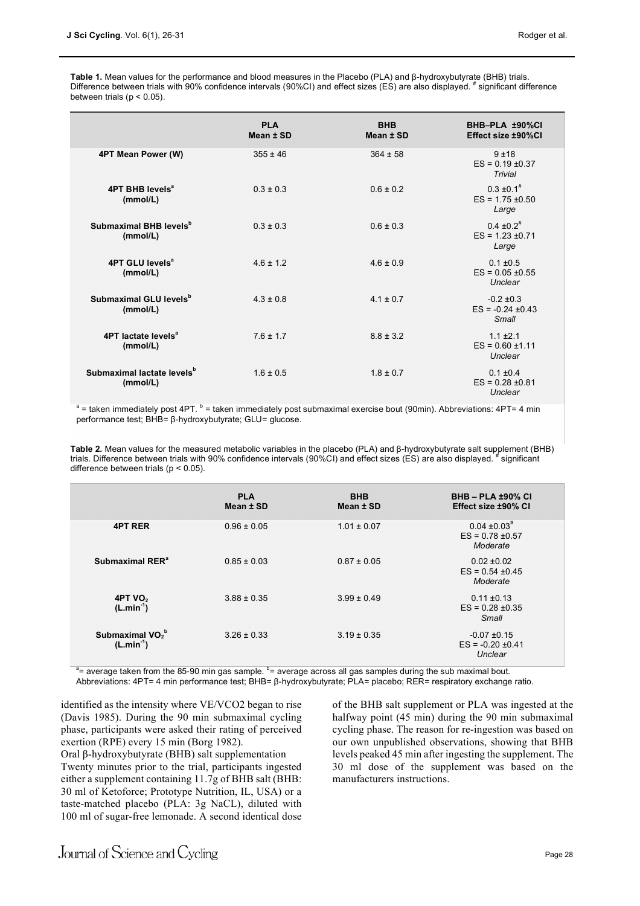**Table 1.** Mean values for the performance and blood measures in the Placebo (PLA) and β-hydroxybutyrate (BHB) trials. Difference between trials with 90% confidence intervals (90%CI) and effect sizes (ES) are also displayed. # significant difference between trials ( $p < 0.05$ ).

|                                                    | <b>PLA</b><br>Mean ± SD | <b>BHB</b><br>Mean ± SD | BHB-PLA ±90%CI<br>Effect size ±90%Cl                        |
|----------------------------------------------------|-------------------------|-------------------------|-------------------------------------------------------------|
| 4PT Mean Power (W)                                 | $355 \pm 46$            | $364 \pm 58$            | $9 + 18$<br>$ES = 0.19 \pm 0.37$<br>Trivial                 |
| 4PT BHB levels <sup>a</sup><br>(mmol/L)            | $0.3 \pm 0.3$           | $0.6 \pm 0.2$           | $0.3 \pm 0.1^{\#}$<br>$ES = 1.75 \pm 0.50$<br>Large         |
| Submaximal BHB levels <sup>b</sup><br>(mmol/L)     | $0.3 \pm 0.3$           | $0.6 \pm 0.3$           | $0.4 \pm 0.2$ <sup>#</sup><br>$ES = 1.23 \pm 0.71$<br>Large |
| 4PT GLU levels <sup>a</sup><br>(mmol/L)            | $4.6 \pm 1.2$           | $4.6 \pm 0.9$           | $0.1 \pm 0.5$<br>$ES = 0.05 \pm 0.55$<br>Unclear            |
| Submaximal GLU levels <sup>b</sup><br>(mmol/L)     | $4.3 \pm 0.8$           | $4.1 \pm 0.7$           | $-0.2 \pm 0.3$<br>$ES = -0.24 \pm 0.43$<br>Small            |
| 4PT lactate levels <sup>a</sup><br>(mmol/L)        | $7.6 \pm 1.7$           | $8.8 \pm 3.2$           | $1.1 \pm 2.1$<br>$ES = 0.60 \pm 1.11$<br>Unclear            |
| Submaximal lactate levels <sup>b</sup><br>(mmol/L) | $1.6 \pm 0.5$           | $1.8 \pm 0.7$           | $0.1 \pm 0.4$<br>$ES = 0.28 \pm 0.81$<br>Unclear            |

 $a$  = taken immediately post 4PT.  $b$  = taken immediately post submaximal exercise bout (90min). Abbreviations: 4PT= 4 min performance test; BHB= β-hydroxybutyrate; GLU= glucose.

**Table 2.** Mean values for the measured metabolic variables in the placebo (PLA) and β-hydroxybutyrate salt supplement (BHB) trials. Difference between trials with 90% confidence intervals (90%CI) and effect sizes (ES) are also displayed. # significant difference between trials (p < 0.05).

|                                                        | <b>PLA</b><br>Mean ± SD | <b>BHB</b><br>Mean ± SD | <b>BHB-PLA ±90% CI</b><br>Effect size ±90% CI                    |
|--------------------------------------------------------|-------------------------|-------------------------|------------------------------------------------------------------|
| <b>4PT RER</b>                                         | $0.96 \pm 0.05$         | $1.01 \pm 0.07$         | $0.04 \pm 0.03$ <sup>#</sup><br>$ES = 0.78 \pm 0.57$<br>Moderate |
| Submaximal RER <sup>a</sup>                            | $0.85 \pm 0.03$         | $0.87 \pm 0.05$         | $0.02 \pm 0.02$<br>$ES = 0.54 \pm 0.45$<br>Moderate              |
| 4PT VO <sub>2</sub><br>$(L.min-1)$                     | $3.88 \pm 0.35$         | $3.99 \pm 0.49$         | $0.11 \pm 0.13$<br>$ES = 0.28 \pm 0.35$<br>Small                 |
| Submaximal VO <sub>2</sub> <sup>b</sup><br>$(L.min-1)$ | $3.26 \pm 0.33$         | $3.19 \pm 0.35$         | $-0.07 + 0.15$<br>$ES = -0.20 \pm 0.41$<br>Unclear               |

<sup>a</sup> = average taken from the 85-90 min gas sample. <sup>b</sup> = average across all gas samples during the sub maximal bout. Abbreviations: 4PT= 4 min performance test; BHB= β-hydroxybutyrate; PLA= placebo; RER= respiratory exchange ratio.

identified as the intensity where VE/VCO2 began to rise (Davis 1985). During the 90 min submaximal cycling phase, participants were asked their rating of perceived exertion (RPE) every 15 min (Borg 1982).

Oral β-hydroxybutyrate (BHB) salt supplementation Twenty minutes prior to the trial, participants ingested either a supplement containing 11.7g of BHB salt (BHB: 30 ml of Ketoforce; Prototype Nutrition, IL, USA) or a taste-matched placebo (PLA: 3g NaCL), diluted with 100 ml of sugar-free lemonade. A second identical dose

of the BHB salt supplement or PLA was ingested at the halfway point (45 min) during the 90 min submaximal cycling phase. The reason for re-ingestion was based on our own unpublished observations, showing that BHB levels peaked 45 min after ingesting the supplement. The 30 ml dose of the supplement was based on the manufacturers instructions.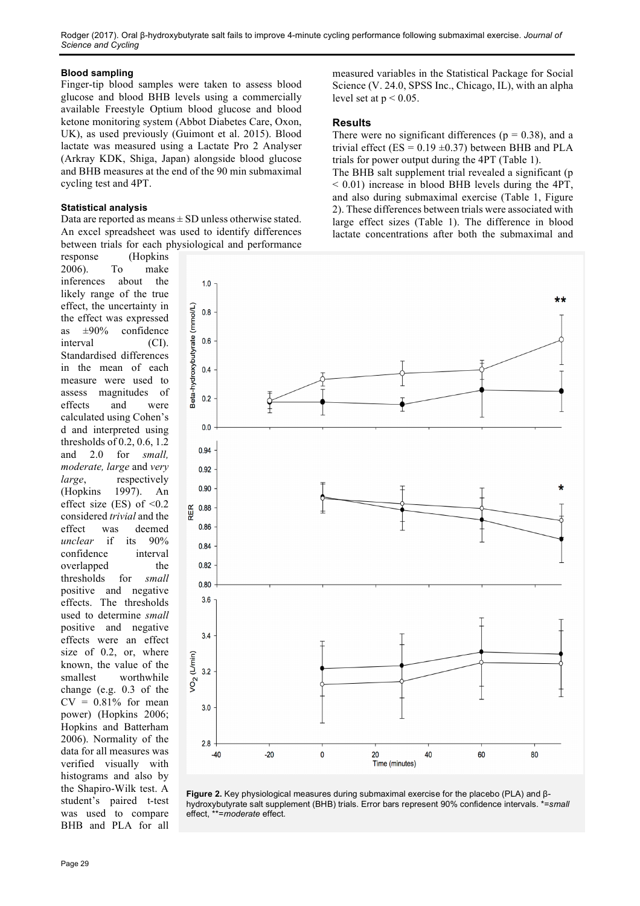Rodger (2017). Oral β-hydroxybutyrate salt fails to improve 4-minute cycling performance following submaximal exercise. *Journal of Science and Cycling*

#### **Blood sampling**

Finger-tip blood samples were taken to assess blood glucose and blood BHB levels using a commercially available Freestyle Optium blood glucose and blood ketone monitoring system (Abbot Diabetes Care, Oxon, UK), as used previously (Guimont et al. 2015). Blood lactate was measured using a Lactate Pro 2 Analyser (Arkray KDK, Shiga, Japan) alongside blood glucose and BHB measures at the end of the 90 min submaximal cycling test and 4PT.

#### **Statistical analysis**

Data are reported as means  $\pm$  SD unless otherwise stated. An excel spreadsheet was used to identify differences between trials for each physiological and performance

response (Hopkins 2006). To make inferences about the likely range of the true effect, the uncertainty in the effect was expressed as ±90% confidence interval (CI). Standardised differences in the mean of each measure were used to assess magnitudes of effects and were calculated using Cohen's d and interpreted using thresholds of 0.2, 0.6, 1.2 and 2.0 for *small, moderate, large* and *very large*, respectively (Hopkins 1997). An effect size (ES) of  $\leq 0.2$ considered *trivial* and the effect was deemed *unclear* if its 90% confidence interval overlapped the thresholds for *small* positive and negative effects. The thresholds used to determine *small*  positive and negative effects were an effect size of 0.2, or, where known, the value of the smallest worthwhile change (e.g. 0.3 of the  $CV = 0.81\%$  for mean power) (Hopkins 2006; Hopkins and Batterham 2006). Normality of the data for all measures was verified visually with histograms and also by the Shapiro-Wilk test. A student's paired t-test was used to compare BHB and PLA for all measured variables in the Statistical Package for Social Science (V. 24.0, SPSS Inc., Chicago, IL), with an alpha level set at  $p < 0.05$ .

#### **Results**

There were no significant differences ( $p = 0.38$ ), and a trivial effect ( $ES = 0.19 \pm 0.37$ ) between BHB and PLA trials for power output during the 4PT (Table 1).

The BHB salt supplement trial revealed a significant (p < 0.01) increase in blood BHB levels during the 4PT, and also during submaximal exercise (Table 1, Figure 2). These differences between trials were associated with large effect sizes (Table 1). The difference in blood lactate concentrations after both the submaximal and



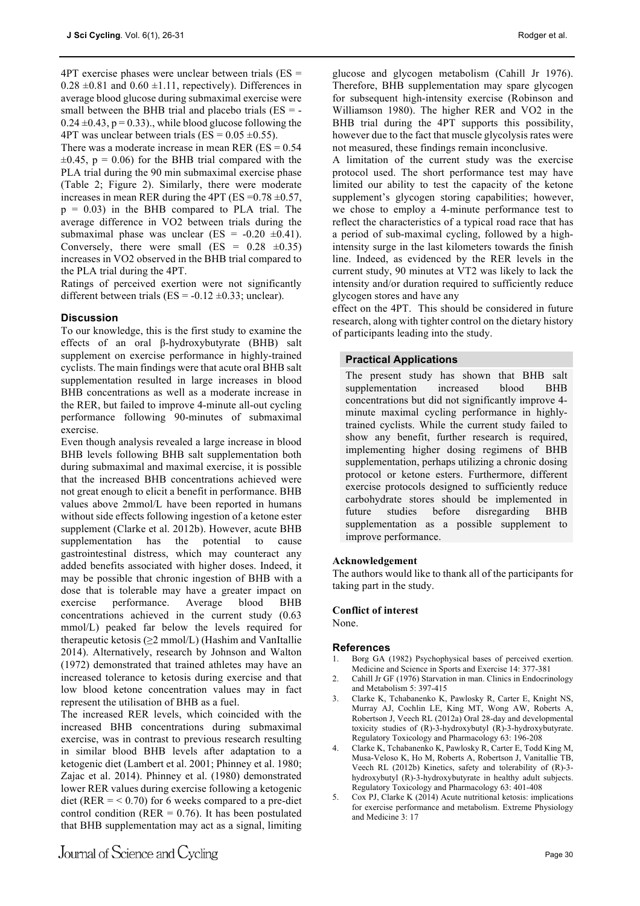4PT exercise phases were unclear between trials (ES =  $0.28 \pm 0.81$  and  $0.60 \pm 1.11$ , repectively). Differences in average blood glucose during submaximal exercise were small between the BHB trial and placebo trials  $(ES = 0.24 \pm 0.43$ , p = 0.33)., while blood glucose following the 4PT was unclear between trials (ES =  $0.05 \pm 0.55$ ).

There was a moderate increase in mean RER ( $ES = 0.54$ )  $\pm 0.45$ , p = 0.06) for the BHB trial compared with the PLA trial during the 90 min submaximal exercise phase (Table 2; Figure 2). Similarly, there were moderate increases in mean RER during the 4PT (ES =  $0.78 \pm 0.57$ ,  $p = 0.03$ ) in the BHB compared to PLA trial. The average difference in VO2 between trials during the submaximal phase was unclear (ES =  $-0.20 \pm 0.41$ ). Conversely, there were small  $(ES = 0.28 \pm 0.35)$ increases in VO2 observed in the BHB trial compared to the PLA trial during the 4PT.

Ratings of perceived exertion were not significantly different between trials (ES =  $-0.12 \pm 0.33$ ; unclear).

#### **Discussion**

To our knowledge, this is the first study to examine the effects of an oral β-hydroxybutyrate (BHB) salt supplement on exercise performance in highly-trained cyclists. The main findings were that acute oral BHB salt supplementation resulted in large increases in blood BHB concentrations as well as a moderate increase in the RER, but failed to improve 4-minute all-out cycling performance following 90-minutes of submaximal exercise.

Even though analysis revealed a large increase in blood BHB levels following BHB salt supplementation both during submaximal and maximal exercise, it is possible that the increased BHB concentrations achieved were not great enough to elicit a benefit in performance. BHB values above 2mmol/L have been reported in humans without side effects following ingestion of a ketone ester supplement (Clarke et al. 2012b). However, acute BHB supplementation has the potential to cause gastrointestinal distress, which may counteract any added benefits associated with higher doses. Indeed, it may be possible that chronic ingestion of BHB with a dose that is tolerable may have a greater impact on exercise performance. Average blood BHB concentrations achieved in the current study (0.63 mmol/L) peaked far below the levels required for therapeutic ketosis ( $\geq$ 2 mmol/L) (Hashim and VanItallie 2014). Alternatively, research by Johnson and Walton (1972) demonstrated that trained athletes may have an increased tolerance to ketosis during exercise and that low blood ketone concentration values may in fact represent the utilisation of BHB as a fuel.

The increased RER levels, which coincided with the increased BHB concentrations during submaximal exercise, was in contrast to previous research resulting in similar blood BHB levels after adaptation to a ketogenic diet (Lambert et al. 2001; Phinney et al. 1980; Zajac et al. 2014). Phinney et al. (1980) demonstrated lower RER values during exercise following a ketogenic diet (RER  $=$  < 0.70) for 6 weeks compared to a pre-diet control condition ( $RER = 0.76$ ). It has been postulated that BHB supplementation may act as a signal, limiting

glucose and glycogen metabolism (Cahill Jr 1976). Therefore, BHB supplementation may spare glycogen for subsequent high-intensity exercise (Robinson and Williamson 1980). The higher RER and VO2 in the BHB trial during the 4PT supports this possibility, however due to the fact that muscle glycolysis rates were not measured, these findings remain inconclusive.

A limitation of the current study was the exercise protocol used. The short performance test may have limited our ability to test the capacity of the ketone supplement's glycogen storing capabilities; however, we chose to employ a 4-minute performance test to reflect the characteristics of a typical road race that has a period of sub-maximal cycling, followed by a highintensity surge in the last kilometers towards the finish line. Indeed, as evidenced by the RER levels in the current study, 90 minutes at VT2 was likely to lack the intensity and/or duration required to sufficiently reduce glycogen stores and have any

effect on the 4PT. This should be considered in future research, along with tighter control on the dietary history of participants leading into the study.

#### **Practical Applications**

The present study has shown that BHB salt supplementation increased blood BHB concentrations but did not significantly improve 4 minute maximal cycling performance in highlytrained cyclists. While the current study failed to show any benefit, further research is required, implementing higher dosing regimens of BHB supplementation, perhaps utilizing a chronic dosing protocol or ketone esters. Furthermore, different exercise protocols designed to sufficiently reduce carbohydrate stores should be implemented in future studies before disregarding BHB supplementation as a possible supplement to improve performance.

#### **Acknowledgement**

The authors would like to thank all of the participants for taking part in the study.

#### **Conflict of interest**

None.

#### **References**

- 1. Borg GA (1982) Psychophysical bases of perceived exertion. Medicine and Science in Sports and Exercise 14: 377-381
- 2. Cahill Jr GF (1976) Starvation in man. Clinics in Endocrinology and Metabolism 5: 397-415
- 3. Clarke K, Tchabanenko K, Pawlosky R, Carter E, Knight NS, Murray AJ, Cochlin LE, King MT, Wong AW, Roberts A, Robertson J, Veech RL (2012a) Oral 28-day and developmental toxicity studies of (R)-3-hydroxybutyl (R)-3-hydroxybutyrate. Regulatory Toxicology and Pharmacology 63: 196-208
- 4. Clarke K, Tchabanenko K, Pawlosky R, Carter E, Todd King M, Musa-Veloso K, Ho M, Roberts A, Robertson J, Vanitallie TB, Veech RL (2012b) Kinetics, safety and tolerability of (R)-3 hydroxybutyl (R)-3-hydroxybutyrate in healthy adult subjects. Regulatory Toxicology and Pharmacology 63: 401-408
- 5. Cox PJ, Clarke K (2014) Acute nutritional ketosis: implications for exercise performance and metabolism. Extreme Physiology and Medicine 3: 17